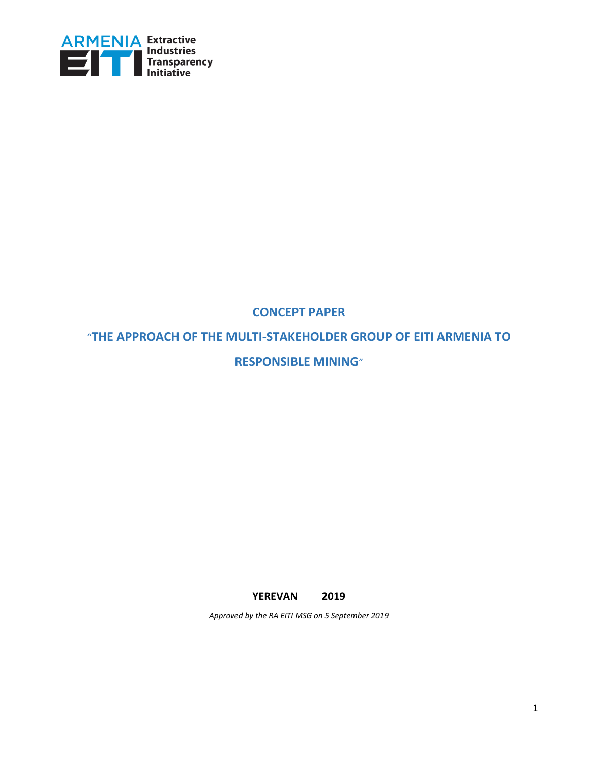

## **CONCEPT PAPER**

"**THE APPROACH OF THE MULTI-STAKEHOLDER GROUP OF EITI ARMENIA TO RESPONSIBLE MINING**"

**YEREVAN 2019**

*Approved by the RA EITI MSG on 5 September 2019*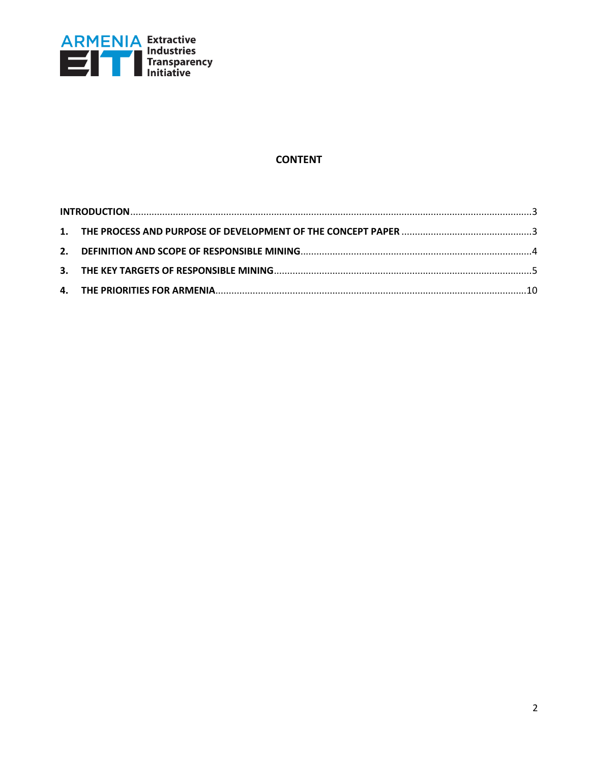

### **CONTENT**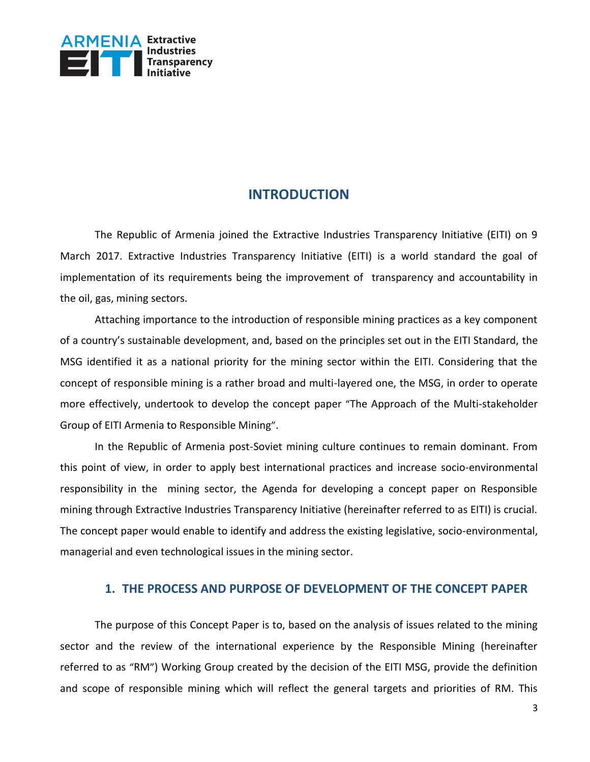

## **INTRODUCTION**

<span id="page-2-0"></span>The Republic of Armenia joined the Extractive Industries Transparency Initiative (EITI) on 9 March 2017. Extractive Industries Transparency Initiative (EITI) is a world standard the goal of implementation of its requirements being the improvement of transparency and accountability in the oil, gas, mining sectors.

Attaching importance to the introduction of responsible mining practices as a key component of a country's sustainable development, and, based on the principles set out in the EITI Standard, the MSG identified it as a national priority for the mining sector within the EITI. Considering that the concept of responsible mining is a rather broad and multi-layered one, the MSG, in order to operate more effectively, undertook to develop the concept paper "The Approach of the Multi-stakeholder Group of EITI Armenia to Responsible Mining".

In the Republic of Armenia post-Soviet mining culture continues to remain dominant. From this point of view, in order to apply best international practices and increase socio-environmental responsibility in the mining sector, the Agenda for developing a concept paper on Responsible mining through Extractive Industries Transparency Initiative (hereinafter referred to as EITI) is crucial. The concept paper would enable to identify and address the existing legislative, socio-environmental, managerial and even technological issues in the mining sector.

### **1. THE PROCESS AND PURPOSE OF DEVELOPMENT OF THE CONCEPT PAPER**

<span id="page-2-1"></span>The purpose of this Concept Paper is to, based on the analysis of issues related to the mining sector and the review of the international experience by the Responsible Mining (hereinafter referred to as "RM") Working Group created by the decision of the EITI MSG, provide the definition and scope of responsible mining which will reflect the general targets and priorities of RM. This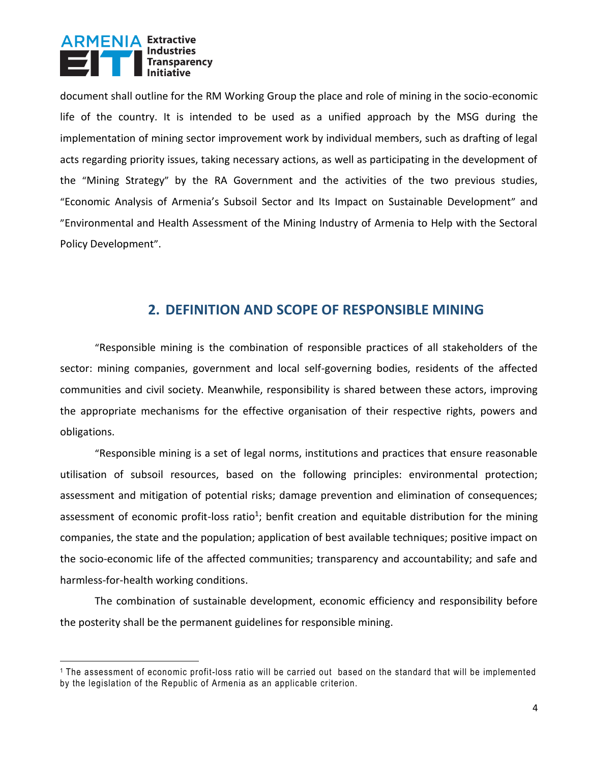

 $\overline{a}$ 

document shall outline for the RM Working Group the place and role of mining in the socio-economic life of the country. It is intended to be used as a unified approach by the MSG during the implementation of mining sector improvement work by individual members, such as drafting of legal acts regarding priority issues, taking necessary actions, as well as participating in the development of the "Mining Strategy" by the RA Government and the activities of the two previous studies, "Economic Analysis of Armenia's Subsoil Sector and Its Impact on Sustainable Development" and "Environmental and Health Assessment of the Mining Industry of Armenia to Help with the Sectoral Policy Development".

### **2. DEFINITION AND SCOPE OF RESPONSIBLE MINING**

<span id="page-3-0"></span>"Responsible mining is the combination of responsible practices of all stakeholders of the sector: mining companies, government and local self-governing bodies, residents of the affected communities and civil society. Meanwhile, responsibility is shared between these actors, improving the appropriate mechanisms for the effective organisation of their respective rights, powers and obligations.

"Responsible mining is a set of legal norms, institutions and practices that ensure reasonable utilisation of subsoil resources, based on the following principles: environmental protection; assessment and mitigation of potential risks; damage prevention and elimination of consequences; assessment of economic profit-loss ratio<sup>1</sup>; benfit creation and equitable distribution for the mining companies, the state and the population; application of best available techniques; positive impact on the socio-economic life of the affected communities; transparency and accountability; and safe and harmless-for-health working conditions.

The combination of sustainable development, economic efficiency and responsibility before the posterity shall be the permanent guidelines for responsible mining.

<sup>1</sup> The assessment of economic profit-loss ratio will be carried out based on the standard that will be implemented by the legislation of the Republic of Armenia as an applicable criterion.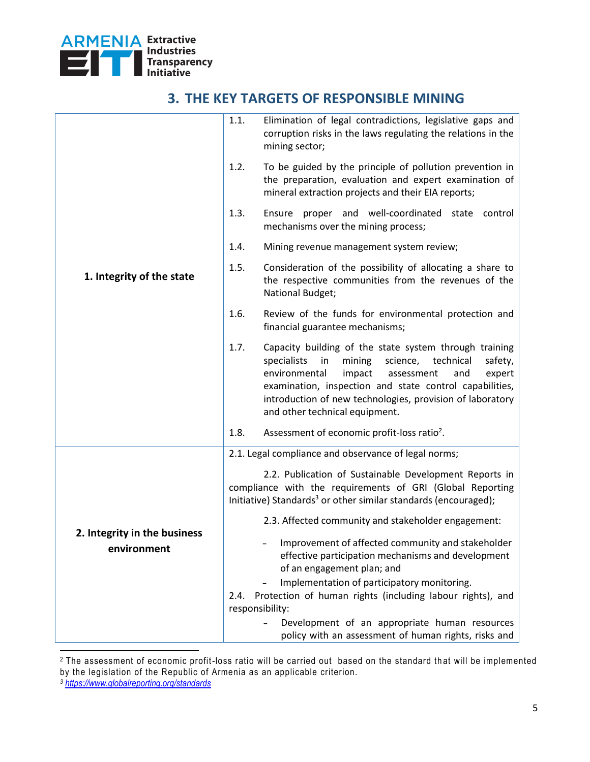

# **3. THE KEY TARGETS OF RESPONSIBLE MINING**

<span id="page-4-0"></span>

|                                             | 1.1. | Elimination of legal contradictions, legislative gaps and<br>corruption risks in the laws regulating the relations in the<br>mining sector;                                                                                                                                                                                                |
|---------------------------------------------|------|--------------------------------------------------------------------------------------------------------------------------------------------------------------------------------------------------------------------------------------------------------------------------------------------------------------------------------------------|
|                                             | 1.2. | To be guided by the principle of pollution prevention in<br>the preparation, evaluation and expert examination of<br>mineral extraction projects and their EIA reports;                                                                                                                                                                    |
|                                             | 1.3. | Ensure proper and well-coordinated<br>control<br>state<br>mechanisms over the mining process;                                                                                                                                                                                                                                              |
|                                             | 1.4. | Mining revenue management system review;                                                                                                                                                                                                                                                                                                   |
| 1. Integrity of the state                   | 1.5. | Consideration of the possibility of allocating a share to<br>the respective communities from the revenues of the<br>National Budget;                                                                                                                                                                                                       |
|                                             | 1.6. | Review of the funds for environmental protection and<br>financial guarantee mechanisms;                                                                                                                                                                                                                                                    |
|                                             | 1.7. | Capacity building of the state system through training<br>specialists<br>science, technical<br>in<br>mining<br>safety,<br>environmental<br>impact<br>expert<br>assessment<br>and<br>examination, inspection and state control capabilities,<br>introduction of new technologies, provision of laboratory<br>and other technical equipment. |
|                                             | 1.8. | Assessment of economic profit-loss ratio <sup>2</sup> .                                                                                                                                                                                                                                                                                    |
|                                             |      | 2.1. Legal compliance and observance of legal norms;                                                                                                                                                                                                                                                                                       |
|                                             |      | 2.2. Publication of Sustainable Development Reports in<br>compliance with the requirements of GRI (Global Reporting<br>Initiative) Standards <sup>3</sup> or other similar standards (encouraged);                                                                                                                                         |
|                                             |      | 2.3. Affected community and stakeholder engagement:                                                                                                                                                                                                                                                                                        |
| 2. Integrity in the business<br>environment |      | Improvement of affected community and stakeholder<br>effective participation mechanisms and development<br>of an engagement plan; and                                                                                                                                                                                                      |
|                                             |      | Implementation of participatory monitoring.                                                                                                                                                                                                                                                                                                |
|                                             | 2.4. | Protection of human rights (including labour rights), and<br>responsibility:                                                                                                                                                                                                                                                               |
|                                             |      | Development of an appropriate human resources                                                                                                                                                                                                                                                                                              |
|                                             |      | policy with an assessment of human rights, risks and                                                                                                                                                                                                                                                                                       |

 $\overline{a}$ <sup>2</sup> The assessment of economic profit-loss ratio will be carried out based on the standard th at will be implemented by the legislation of the Republic of Armenia as an applicable criterion.

*<sup>3</sup> <https://www.globalreporting.org/standards>*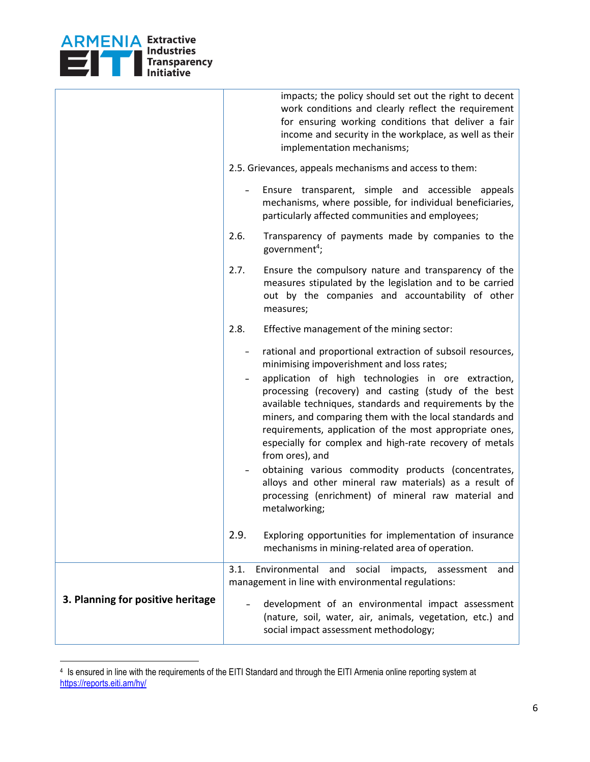

 $\overline{a}$ 

|                                   | impacts; the policy should set out the right to decent<br>work conditions and clearly reflect the requirement<br>for ensuring working conditions that deliver a fair<br>income and security in the workplace, as well as their<br>implementation mechanisms;                                                                                                                                                                                                                                                                                                                                                                                                                   |                   |
|-----------------------------------|--------------------------------------------------------------------------------------------------------------------------------------------------------------------------------------------------------------------------------------------------------------------------------------------------------------------------------------------------------------------------------------------------------------------------------------------------------------------------------------------------------------------------------------------------------------------------------------------------------------------------------------------------------------------------------|-------------------|
|                                   | 2.5. Grievances, appeals mechanisms and access to them:                                                                                                                                                                                                                                                                                                                                                                                                                                                                                                                                                                                                                        |                   |
|                                   | Ensure transparent, simple and accessible appeals<br>mechanisms, where possible, for individual beneficiaries,<br>particularly affected communities and employees;                                                                                                                                                                                                                                                                                                                                                                                                                                                                                                             |                   |
|                                   | 2.6.<br>Transparency of payments made by companies to the<br>government <sup>4</sup> ;                                                                                                                                                                                                                                                                                                                                                                                                                                                                                                                                                                                         |                   |
|                                   | 2.7.<br>Ensure the compulsory nature and transparency of the<br>measures stipulated by the legislation and to be carried<br>out by the companies and accountability of other<br>measures;                                                                                                                                                                                                                                                                                                                                                                                                                                                                                      |                   |
|                                   | 2.8.<br>Effective management of the mining sector:                                                                                                                                                                                                                                                                                                                                                                                                                                                                                                                                                                                                                             |                   |
|                                   | rational and proportional extraction of subsoil resources,<br>minimising impoverishment and loss rates;<br>application of high technologies in ore extraction,<br>processing (recovery) and casting (study of the best<br>available techniques, standards and requirements by the<br>miners, and comparing them with the local standards and<br>requirements, application of the most appropriate ones,<br>especially for complex and high-rate recovery of metals<br>from ores), and<br>obtaining various commodity products (concentrates,<br>alloys and other mineral raw materials) as a result of<br>processing (enrichment) of mineral raw material and<br>metalworking; |                   |
|                                   | 2.9.<br>Exploring opportunities for implementation of insurance<br>mechanisms in mining-related area of operation.                                                                                                                                                                                                                                                                                                                                                                                                                                                                                                                                                             |                   |
|                                   | 3.1.<br>social<br>Environmental<br>and<br>impacts,<br>management in line with environmental regulations:                                                                                                                                                                                                                                                                                                                                                                                                                                                                                                                                                                       | assessment<br>and |
| 3. Planning for positive heritage | development of an environmental impact assessment<br>(nature, soil, water, air, animals, vegetation, etc.) and<br>social impact assessment methodology;                                                                                                                                                                                                                                                                                                                                                                                                                                                                                                                        |                   |
|                                   |                                                                                                                                                                                                                                                                                                                                                                                                                                                                                                                                                                                                                                                                                |                   |

<sup>4</sup> Is ensured in line with the requirements of the EITI Standard and through the EITI Armenia online reporting system at <https://reports.eiti.am/hy/>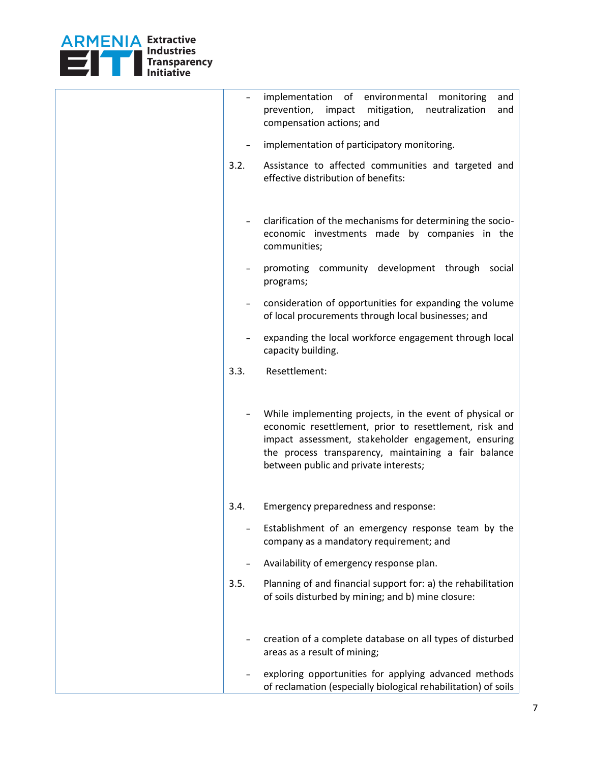

|      | implementation of environmental<br>monitoring<br>and<br>prevention,<br>impact<br>mitigation,<br>neutralization<br>and<br>compensation actions; and                                                                                                                         |
|------|----------------------------------------------------------------------------------------------------------------------------------------------------------------------------------------------------------------------------------------------------------------------------|
|      | implementation of participatory monitoring.                                                                                                                                                                                                                                |
| 3.2. | Assistance to affected communities and targeted and<br>effective distribution of benefits:                                                                                                                                                                                 |
|      | clarification of the mechanisms for determining the socio-<br>economic investments made by companies in the<br>communities;                                                                                                                                                |
|      | promoting community development through<br>social<br>programs;                                                                                                                                                                                                             |
|      | consideration of opportunities for expanding the volume<br>of local procurements through local businesses; and                                                                                                                                                             |
|      | expanding the local workforce engagement through local<br>capacity building.                                                                                                                                                                                               |
| 3.3. | Resettlement:                                                                                                                                                                                                                                                              |
|      | While implementing projects, in the event of physical or<br>economic resettlement, prior to resettlement, risk and<br>impact assessment, stakeholder engagement, ensuring<br>the process transparency, maintaining a fair balance<br>between public and private interests; |
| 3.4. | Emergency preparedness and response:                                                                                                                                                                                                                                       |
|      | Establishment of an emergency response team by the<br>company as a mandatory requirement; and                                                                                                                                                                              |
|      | Availability of emergency response plan.                                                                                                                                                                                                                                   |
| 3.5. | Planning of and financial support for: a) the rehabilitation<br>of soils disturbed by mining; and b) mine closure:                                                                                                                                                         |
|      | creation of a complete database on all types of disturbed<br>areas as a result of mining;                                                                                                                                                                                  |
|      | exploring opportunities for applying advanced methods<br>of reclamation (especially biological rehabilitation) of soils                                                                                                                                                    |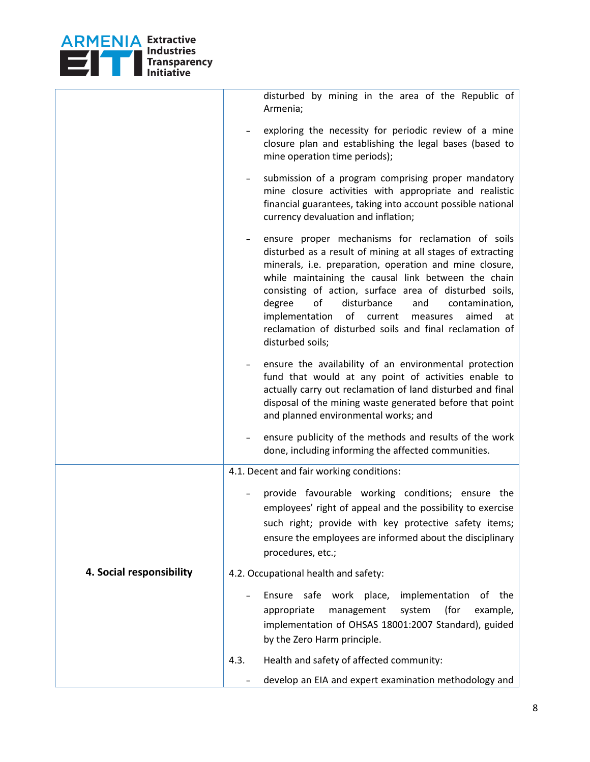

|                          | disturbed by mining in the area of the Republic of<br>Armenia;                                                                                                                                                                                                                                                                                                                                                                                                                                 |
|--------------------------|------------------------------------------------------------------------------------------------------------------------------------------------------------------------------------------------------------------------------------------------------------------------------------------------------------------------------------------------------------------------------------------------------------------------------------------------------------------------------------------------|
|                          | exploring the necessity for periodic review of a mine<br>closure plan and establishing the legal bases (based to<br>mine operation time periods);                                                                                                                                                                                                                                                                                                                                              |
|                          | submission of a program comprising proper mandatory<br>mine closure activities with appropriate and realistic<br>financial guarantees, taking into account possible national<br>currency devaluation and inflation;                                                                                                                                                                                                                                                                            |
|                          | ensure proper mechanisms for reclamation of soils<br>disturbed as a result of mining at all stages of extracting<br>minerals, i.e. preparation, operation and mine closure,<br>while maintaining the causal link between the chain<br>consisting of action, surface area of disturbed soils,<br>disturbance<br>degree<br>of<br>and<br>contamination,<br>of current<br>implementation<br>aimed<br>measures<br>at<br>reclamation of disturbed soils and final reclamation of<br>disturbed soils; |
|                          | ensure the availability of an environmental protection<br>fund that would at any point of activities enable to<br>actually carry out reclamation of land disturbed and final<br>disposal of the mining waste generated before that point<br>and planned environmental works; and                                                                                                                                                                                                               |
|                          | ensure publicity of the methods and results of the work<br>done, including informing the affected communities.                                                                                                                                                                                                                                                                                                                                                                                 |
|                          | 4.1. Decent and fair working conditions:                                                                                                                                                                                                                                                                                                                                                                                                                                                       |
|                          | provide favourable working conditions; ensure the<br>employees' right of appeal and the possibility to exercise<br>such right; provide with key protective safety items;<br>ensure the employees are informed about the disciplinary<br>procedures, etc.;                                                                                                                                                                                                                                      |
| 4. Social responsibility | 4.2. Occupational health and safety:                                                                                                                                                                                                                                                                                                                                                                                                                                                           |
|                          | Ensure safe work place,<br>of the<br>implementation<br>(for<br>appropriate<br>management<br>system<br>example,<br>implementation of OHSAS 18001:2007 Standard), guided<br>by the Zero Harm principle.                                                                                                                                                                                                                                                                                          |
|                          | Health and safety of affected community:<br>4.3.                                                                                                                                                                                                                                                                                                                                                                                                                                               |
|                          | develop an EIA and expert examination methodology and                                                                                                                                                                                                                                                                                                                                                                                                                                          |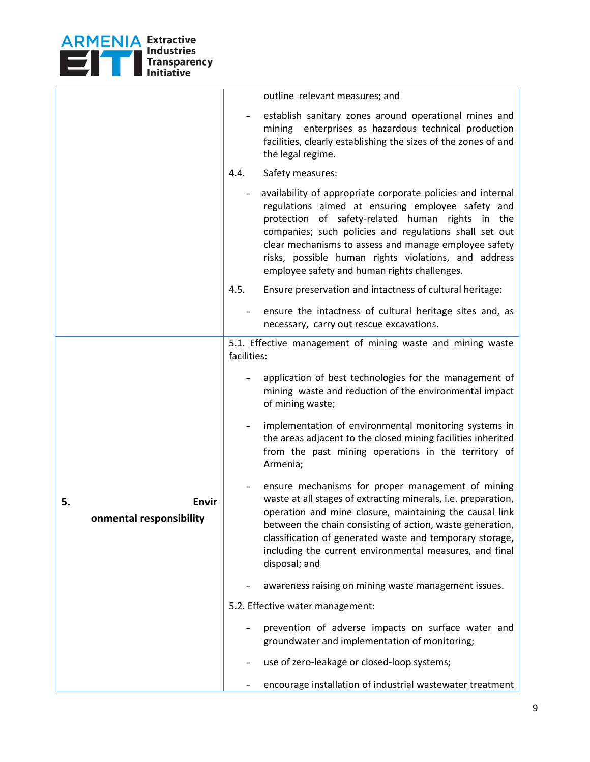

|    |                                  |             | outline relevant measures; and                                                                                                                                                                                                                                                                                                                                                                  |
|----|----------------------------------|-------------|-------------------------------------------------------------------------------------------------------------------------------------------------------------------------------------------------------------------------------------------------------------------------------------------------------------------------------------------------------------------------------------------------|
|    |                                  |             | establish sanitary zones around operational mines and<br>mining enterprises as hazardous technical production<br>facilities, clearly establishing the sizes of the zones of and<br>the legal regime.                                                                                                                                                                                            |
|    |                                  | 4.4.        | Safety measures:                                                                                                                                                                                                                                                                                                                                                                                |
|    |                                  |             | availability of appropriate corporate policies and internal<br>regulations aimed at ensuring employee safety and<br>protection of safety-related human rights in the<br>companies; such policies and regulations shall set out<br>clear mechanisms to assess and manage employee safety<br>risks, possible human rights violations, and address<br>employee safety and human rights challenges. |
|    |                                  | 4.5.        | Ensure preservation and intactness of cultural heritage:                                                                                                                                                                                                                                                                                                                                        |
|    |                                  |             | ensure the intactness of cultural heritage sites and, as<br>necessary, carry out rescue excavations.                                                                                                                                                                                                                                                                                            |
|    | Envir<br>onmental responsibility | facilities: | 5.1. Effective management of mining waste and mining waste                                                                                                                                                                                                                                                                                                                                      |
|    |                                  |             | application of best technologies for the management of<br>mining waste and reduction of the environmental impact<br>of mining waste;                                                                                                                                                                                                                                                            |
|    |                                  |             | implementation of environmental monitoring systems in<br>the areas adjacent to the closed mining facilities inherited<br>from the past mining operations in the territory of<br>Armenia;                                                                                                                                                                                                        |
| 5. |                                  |             | ensure mechanisms for proper management of mining<br>waste at all stages of extracting minerals, i.e. preparation,<br>operation and mine closure, maintaining the causal link<br>between the chain consisting of action, waste generation,<br>classification of generated waste and temporary storage,<br>including the current environmental measures, and final<br>disposal; and              |
|    |                                  |             | awareness raising on mining waste management issues.                                                                                                                                                                                                                                                                                                                                            |
|    |                                  |             | 5.2. Effective water management:                                                                                                                                                                                                                                                                                                                                                                |
|    |                                  |             | prevention of adverse impacts on surface water and<br>groundwater and implementation of monitoring;                                                                                                                                                                                                                                                                                             |
|    |                                  |             | use of zero-leakage or closed-loop systems;                                                                                                                                                                                                                                                                                                                                                     |
|    |                                  |             | encourage installation of industrial wastewater treatment                                                                                                                                                                                                                                                                                                                                       |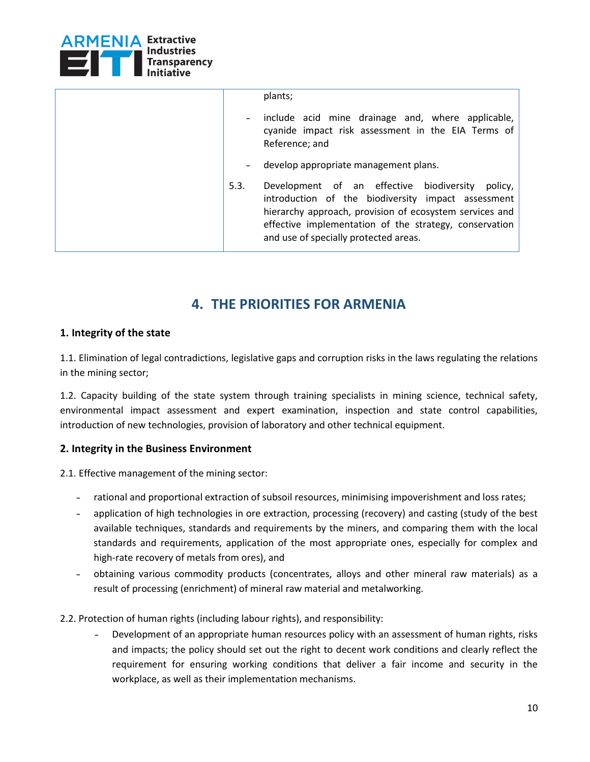

|      | plants;                                                                                                                                                                                                                                                                 |
|------|-------------------------------------------------------------------------------------------------------------------------------------------------------------------------------------------------------------------------------------------------------------------------|
|      | include acid mine drainage and, where applicable,<br>cyanide impact risk assessment in the EIA Terms of<br>Reference; and                                                                                                                                               |
|      | develop appropriate management plans.                                                                                                                                                                                                                                   |
| 5.3. | Development of an effective biodiversity<br>policy,<br>introduction of the biodiversity impact assessment<br>hierarchy approach, provision of ecosystem services and<br>effective implementation of the strategy, conservation<br>and use of specially protected areas. |

# **4. THE PRIORITIES FOR ARMENIA**

#### <span id="page-9-0"></span>**1. Integrity of the state**

1.1. Elimination of legal contradictions, legislative gaps and corruption risks in the laws regulating the relations in the mining sector;

1.2. Capacity building of the state system through training specialists in mining science, technical safety, environmental impact assessment and expert examination, inspection and state control capabilities, introduction of new technologies, provision of laboratory and other technical equipment.

#### **2. Integrity in the Business Environment**

2.1. Effective management of the mining sector:

- rational and proportional extraction of subsoil resources, minimising impoverishment and loss rates;
- application of high technologies in ore extraction, processing (recovery) and casting (study of the best available techniques, standards and requirements by the miners, and comparing them with the local standards and requirements, application of the most appropriate ones, especially for complex and high-rate recovery of metals from ores), and
- obtaining various commodity products (concentrates, alloys and other mineral raw materials) as a result of processing (enrichment) of mineral raw material and metalworking.
- 2.2. Protection of human rights (including labour rights), and responsibility:
	- Development of an appropriate human resources policy with an assessment of human rights, risks and impacts; the policy should set out the right to decent work conditions and clearly reflect the requirement for ensuring working conditions that deliver a fair income and security in the workplace, as well as their implementation mechanisms.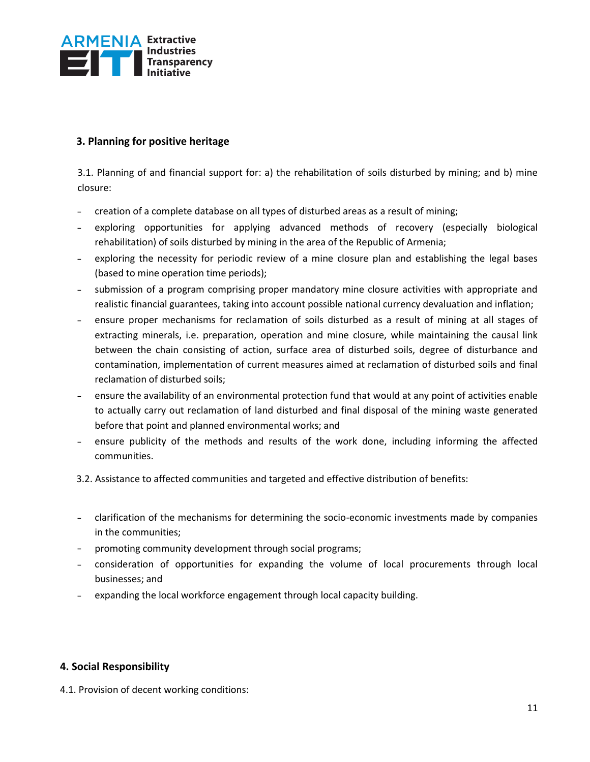

#### **3. Planning for positive heritage**

3.1. Planning of and financial support for: a) the rehabilitation of soils disturbed by mining; and b) mine closure:

- creation of a complete database on all types of disturbed areas as a result of mining;
- exploring opportunities for applying advanced methods of recovery (especially biological rehabilitation) of soils disturbed by mining in the area of the Republic of Armenia;
- exploring the necessity for periodic review of a mine closure plan and establishing the legal bases (based to mine operation time periods);
- submission of a program comprising proper mandatory mine closure activities with appropriate and realistic financial guarantees, taking into account possible national currency devaluation and inflation;
- ensure proper mechanisms for reclamation of soils disturbed as a result of mining at all stages of extracting minerals, i.e. preparation, operation and mine closure, while maintaining the causal link between the chain consisting of action, surface area of disturbed soils, degree of disturbance and contamination, implementation of current measures aimed at reclamation of disturbed soils and final reclamation of disturbed soils;
- ensure the availability of an environmental protection fund that would at any point of activities enable to actually carry out reclamation of land disturbed and final disposal of the mining waste generated before that point and planned environmental works; and
- ensure publicity of the methods and results of the work done, including informing the affected communities.
- 3.2. Assistance to affected communities and targeted and effective distribution of benefits:
- clarification of the mechanisms for determining the socio-economic investments made by companies in the communities;
- promoting community development through social programs;
- consideration of opportunities for expanding the volume of local procurements through local businesses; and
- expanding the local workforce engagement through local capacity building.

#### **4. Social Responsibility**

4.1. Provision of decent working conditions: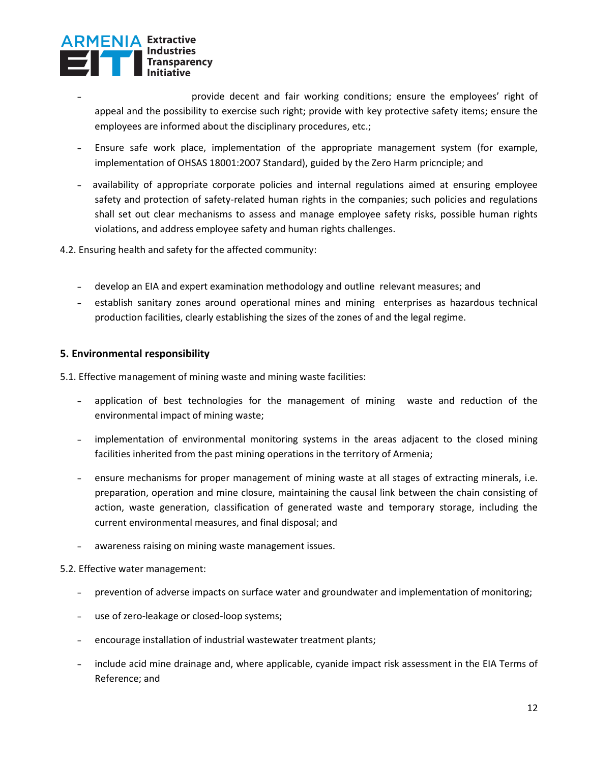

- provide decent and fair working conditions; ensure the employees' right of appeal and the possibility to exercise such right; provide with key protective safety items; ensure the employees are informed about the disciplinary procedures, etc.;
- Ensure safe work place, implementation of the appropriate management system (for example,  $\frac{1}{2}$ implementation of OHSAS 18001:2007 Standard), guided by the Zero Harm pricnciple; and
- availability of appropriate corporate policies and internal regulations aimed at ensuring employee  $\frac{1}{2}$ safety and protection of safety-related human rights in the companies; such policies and regulations shall set out clear mechanisms to assess and manage employee safety risks, possible human rights violations, and address employee safety and human rights challenges.
- 4.2. Ensuring health and safety for the affected community:
	- develop an EIA and expert examination methodology and outline relevant measures; and
	- establish sanitary zones around operational mines and mining enterprises as hazardous technical  $\frac{1}{2}$ production facilities, clearly establishing the sizes of the zones of and the legal regime.

#### **5. Environmental responsibility**

5.1. Effective management of mining waste and mining waste facilities:

- application of best technologies for the management of mining waste and reduction of the environmental impact of mining waste;
- implementation of environmental monitoring systems in the areas adjacent to the closed mining facilities inherited from the past mining operations in the territory of Armenia;
- ensure mechanisms for proper management of mining waste at all stages of extracting minerals, i.e. preparation, operation and mine closure, maintaining the causal link between the chain consisting of action, waste generation, classification of generated waste and temporary storage, including the current environmental measures, and final disposal; and
- awareness raising on mining waste management issues.

#### 5.2. Effective water management:

- prevention of adverse impacts on surface water and groundwater and implementation of monitoring;  $\frac{1}{2}$
- use of zero-leakage or closed-loop systems;
- encourage installation of industrial wastewater treatment plants;
- include acid mine drainage and, where applicable, cyanide impact risk assessment in the EIA Terms of  $\sim$ Reference; and